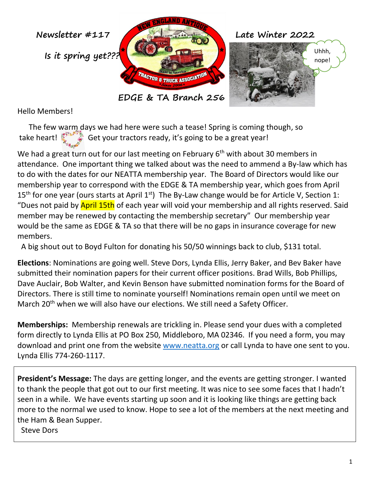

Hello Members!

 The few warm days we had here were such a tease! Spring is coming though, so take heart! Get your tractors ready, it's going to be a great year!

We had a great turn out for our last meeting on February 6<sup>th</sup> with about 30 members in attendance. One important thing we talked about was the need to ammend a By-law which has to do with the dates for our NEATTA membership year. The Board of Directors would like our membership year to correspond with the EDGE & TA membership year, which goes from April 15<sup>th</sup> for one year (ours starts at April 1<sup>st</sup>) The By-Law change would be for Article V, Section 1: "Dues not paid by April 15th of each year will void your membership and all rights reserved. Said member may be renewed by contacting the membership secretary" Our membership year would be the same as EDGE & TA so that there will be no gaps in insurance coverage for new members.

A big shout out to Boyd Fulton for donating his 50/50 winnings back to club, \$131 total.

**Elections**: Nominations are going well. Steve Dors, Lynda Ellis, Jerry Baker, and Bev Baker have submitted their nomination papers for their current officer positions. Brad Wills, Bob Phillips, Dave Auclair, Bob Walter, and Kevin Benson have submitted nomination forms for the Board of Directors. There is still time to nominate yourself! Nominations remain open until we meet on March 20<sup>th</sup> when we will also have our elections. We still need a Safety Officer.

**Memberships:** Membership renewals are trickling in. Please send your dues with a completed form directly to Lynda Ellis at PO Box 250, Middleboro, MA 02346. If you need a form, you may download and print one from the website [www.neatta.org](http://www.neatta.org/) or call Lynda to have one sent to you. Lynda Ellis 774-260-1117.

**President's Message:** The days are getting longer, and the events are getting stronger. I wanted to thank the people that got out to our first meeting. It was nice to see some faces that I hadn't seen in a while. We have events starting up soon and it is looking like things are getting back more to the normal we used to know. Hope to see a lot of the members at the next meeting and the Ham & Bean Supper.

Steve Dors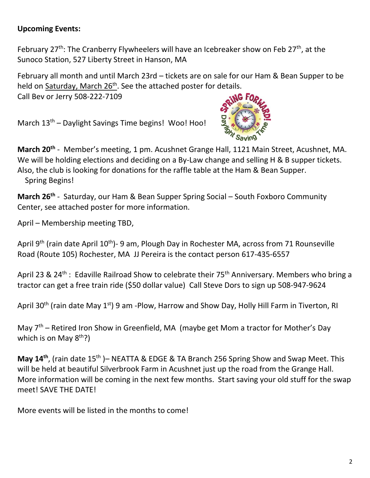## **Upcoming Events:**

February 27<sup>th</sup>: The Cranberry Flywheelers will have an Icebreaker show on Feb 27<sup>th</sup>, at the Sunoco Station, 527 Liberty Street in Hanson, MA

February all month and until March 23rd – tickets are on sale for our Ham & Bean Supper to be held on Saturday, March 26<sup>th</sup>. See the attached poster for details.

Call Bev or Jerry 508-222-7109

March 13th – Daylight Savings Time begins! Woo! Hoo!



**March 20th** - Member's meeting, 1 pm. Acushnet Grange Hall, 1121 Main Street, Acushnet, MA. We will be holding elections and deciding on a By-Law change and selling H & B supper tickets. Also, the club is looking for donations for the raffle table at the Ham & Bean Supper. Spring Begins!

**March 26th** - Saturday, our Ham & Bean Supper Spring Social – South Foxboro Community Center, see attached poster for more information.

April – Membership meeting TBD,

April 9<sup>th</sup> (rain date April 10<sup>th</sup>)- 9 am, Plough Day in Rochester MA, across from 71 Rounseville Road (Route 105) Rochester, MA JJ Pereira is the contact person 617-435-6557

April 23 & 24<sup>th</sup>: Edaville Railroad Show to celebrate their 75<sup>th</sup> Anniversary. Members who bring a tractor can get a free train ride (\$50 dollar value) Call Steve Dors to sign up 508-947-9624

April 30<sup>th</sup> (rain date May 1<sup>st</sup>) 9 am -Plow, Harrow and Show Day, Holly Hill Farm in Tiverton, RI

May  $7<sup>th</sup>$  – Retired Iron Show in Greenfield, MA (maybe get Mom a tractor for Mother's Day which is on May  $8<sup>th</sup>$ ?)

**May 14th** , (rain date 15th )– NEATTA & EDGE & TA Branch 256 Spring Show and Swap Meet. This will be held at beautiful Silverbrook Farm in Acushnet just up the road from the Grange Hall. More information will be coming in the next few months. Start saving your old stuff for the swap meet! SAVE THE DATE!

More events will be listed in the months to come!